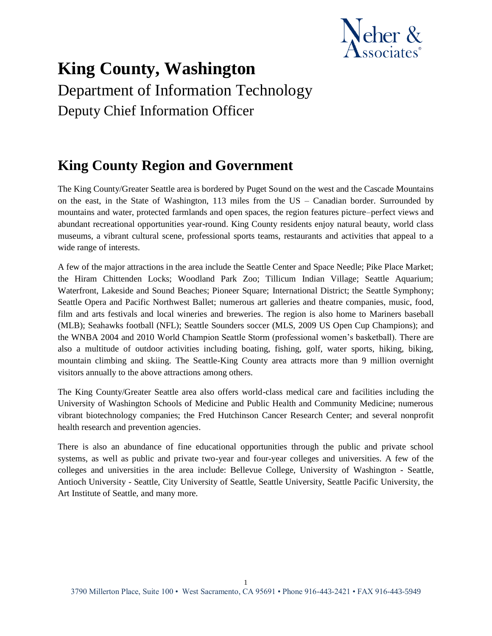

# **King County, Washington** Department of Information Technology Deputy Chief Information Officer

# **King County Region and Government**

The King County/Greater Seattle area is bordered by Puget Sound on the west and the Cascade Mountains on the east, in the State of Washington, 113 miles from the US – Canadian border. Surrounded by mountains and water, protected farmlands and open spaces, the region features picture–perfect views and abundant recreational opportunities year-round. King County residents enjoy natural beauty, world class museums, a vibrant cultural scene, professional sports teams, restaurants and activities that appeal to a wide range of interests.

A few of the major attractions in the area include the Seattle Center and Space Needle; Pike Place Market; the Hiram Chittenden Locks; Woodland Park Zoo; Tillicum Indian Village; Seattle Aquarium; Waterfront, Lakeside and Sound Beaches; Pioneer Square; International District; the Seattle Symphony; Seattle Opera and Pacific Northwest Ballet; numerous art galleries and theatre companies, music, food, film and arts festivals and local wineries and breweries. The region is also home to Mariners baseball (MLB); Seahawks football (NFL); Seattle Sounders soccer (MLS, 2009 US Open Cup Champions); and the WNBA 2004 and 2010 World Champion Seattle Storm (professional women's basketball). There are also a multitude of outdoor activities including boating, fishing, golf, water sports, hiking, biking, mountain climbing and skiing. The Seattle-King County area attracts more than 9 million overnight visitors annually to the above attractions among others.

The King County/Greater Seattle area also offers world-class medical care and facilities including the University of Washington Schools of Medicine and Public Health and Community Medicine; numerous vibrant biotechnology companies; the Fred Hutchinson Cancer Research Center; and several nonprofit health research and prevention agencies.

There is also an abundance of fine educational opportunities through the public and private school systems, as well as public and private two-year and four-year colleges and universities. A few of the colleges and universities in the area include: Bellevue College, University of Washington - Seattle, Antioch University - Seattle, City University of Seattle, Seattle University, Seattle Pacific University, the Art Institute of Seattle, and many more.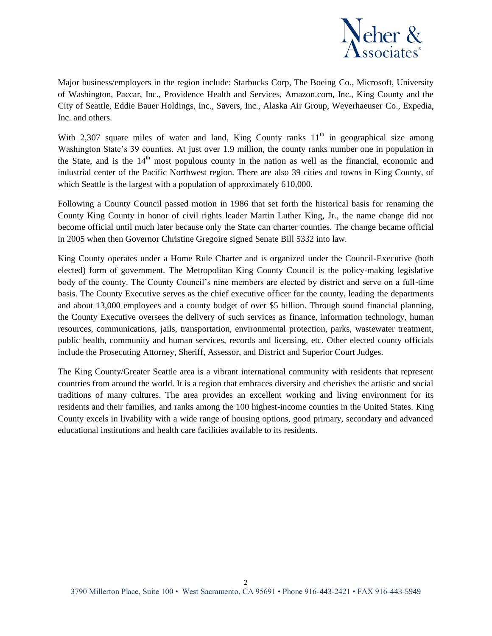

Major business/employers in the region include: Starbucks Corp, The Boeing Co., Microsoft, University of Washington, Paccar, Inc., Providence Health and Services, Amazon.com, Inc., King County and the City of Seattle, Eddie Bauer Holdings, Inc., Savers, Inc., Alaska Air Group, Weyerhaeuser Co., Expedia, Inc. and others.

With 2,307 square miles of water and land, King County ranks  $11<sup>th</sup>$  in geographical size among Washington State's 39 counties. At just over 1.9 million, the county ranks number one in population in the State, and is the  $14<sup>th</sup>$  most populous county in the nation as well as the financial, economic and industrial center of the Pacific Northwest region. There are also 39 cities and towns in King County, of which Seattle is the largest with a population of approximately 610,000.

Following a County Council passed motion in 1986 that set forth the historical basis for renaming the County King County in honor of civil rights leader Martin Luther King, Jr., the name change did not become official until much later because only the State can charter counties. The change became official in 2005 when then Governor Christine Gregoire signed Senate Bill 5332 into law.

King County operates under a Home Rule Charter and is organized under the Council-Executive (both elected) form of government. The Metropolitan King County Council is the policy-making legislative body of the county. The County Council's nine members are elected by district and serve on a full-time basis. The County Executive serves as the chief executive officer for the county, leading the departments and about 13,000 employees and a county budget of over \$5 billion. Through sound financial planning, the County Executive oversees the delivery of such services as finance, information technology, human resources, communications, jails, transportation, environmental protection, parks, wastewater treatment, public health, community and human services, records and licensing, etc. Other elected county officials include the Prosecuting Attorney, Sheriff, Assessor, and District and Superior Court Judges.

The King County/Greater Seattle area is a vibrant international community with residents that represent countries from around the world. It is a region that embraces diversity and cherishes the artistic and social traditions of many cultures. The area provides an excellent working and living environment for its residents and their families, and ranks among the 100 highest-income counties in the United States. King County excels in livability with a wide range of housing options, good primary, secondary and advanced educational institutions and health care facilities available to its residents.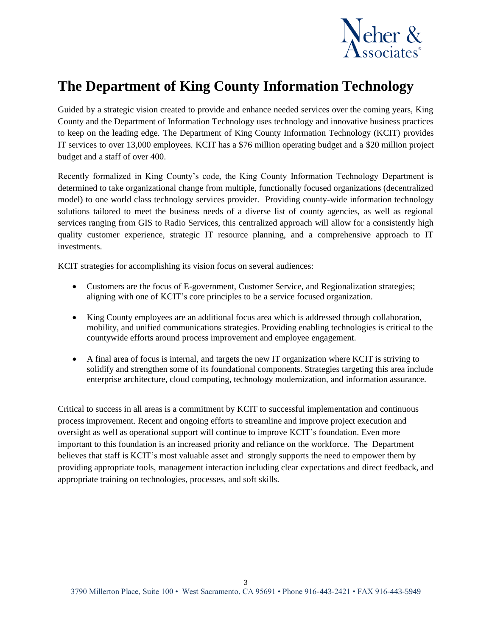

# **The Department of King County Information Technology**

Guided by a strategic vision created to provide and enhance needed services over the coming years, King County and the Department of Information Technology uses technology and innovative business practices to keep on the leading edge. The Department of King County Information Technology (KCIT) provides IT services to over 13,000 employees. KCIT has a \$76 million operating budget and a \$20 million project budget and a staff of over 400.

Recently formalized in King County's code, the King County Information Technology Department is determined to take organizational change from multiple, functionally focused organizations (decentralized model) to one world class technology services provider. Providing county-wide information technology solutions tailored to meet the business needs of a diverse list of county agencies, as well as regional services ranging from GIS to Radio Services, this centralized approach will allow for a consistently high quality customer experience, strategic IT resource planning, and a comprehensive approach to IT investments.

KCIT strategies for accomplishing its vision focus on several audiences:

- Customers are the focus of E-government, Customer Service, and Regionalization strategies; aligning with one of KCIT's core principles to be a service focused organization.
- King County employees are an additional focus area which is addressed through collaboration, mobility, and unified communications strategies. Providing enabling technologies is critical to the countywide efforts around process improvement and employee engagement.
- A final area of focus is internal, and targets the new IT organization where KCIT is striving to solidify and strengthen some of its foundational components. Strategies targeting this area include enterprise architecture, cloud computing, technology modernization, and information assurance.

Critical to success in all areas is a commitment by KCIT to successful implementation and continuous process improvement. Recent and ongoing efforts to streamline and improve project execution and oversight as well as operational support will continue to improve KCIT's foundation. Even more important to this foundation is an increased priority and reliance on the workforce. The Department believes that staff is KCIT's most valuable asset and strongly supports the need to empower them by providing appropriate tools, management interaction including clear expectations and direct feedback, and appropriate training on technologies, processes, and soft skills.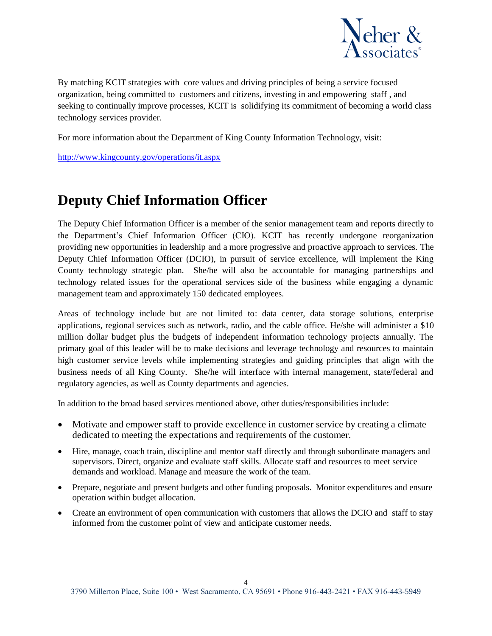

By matching KCIT strategies with core values and driving principles of being a service focused organization, being committed to customers and citizens, investing in and empowering staff , and seeking to continually improve processes, KCIT is solidifying its commitment of becoming a world class technology services provider.

For more information about the Department of King County Information Technology, visit:

<http://www.kingcounty.gov/operations/it.aspx>

### **Deputy Chief Information Officer**

The Deputy Chief Information Officer is a member of the senior management team and reports directly to the Department's Chief Information Officer (CIO). KCIT has recently undergone reorganization providing new opportunities in leadership and a more progressive and proactive approach to services. The Deputy Chief Information Officer (DCIO), in pursuit of service excellence, will implement the King County technology strategic plan. She/he will also be accountable for managing partnerships and technology related issues for the operational services side of the business while engaging a dynamic management team and approximately 150 dedicated employees.

Areas of technology include but are not limited to: data center, data storage solutions, enterprise applications, regional services such as network, radio, and the cable office. He/she will administer a \$10 million dollar budget plus the budgets of independent information technology projects annually. The primary goal of this leader will be to make decisions and leverage technology and resources to maintain high customer service levels while implementing strategies and guiding principles that align with the business needs of all King County. She/he will interface with internal management, state/federal and regulatory agencies, as well as County departments and agencies.

In addition to the broad based services mentioned above, other duties/responsibilities include:

- Motivate and empower staff to provide excellence in customer service by creating a climate dedicated to meeting the expectations and requirements of the customer.
- Hire, manage, coach train, discipline and mentor staff directly and through subordinate managers and supervisors. Direct, organize and evaluate staff skills. Allocate staff and resources to meet service demands and workload. Manage and measure the work of the team.
- Prepare, negotiate and present budgets and other funding proposals. Monitor expenditures and ensure operation within budget allocation.
- Create an environment of open communication with customers that allows the DCIO and staff to stay informed from the customer point of view and anticipate customer needs.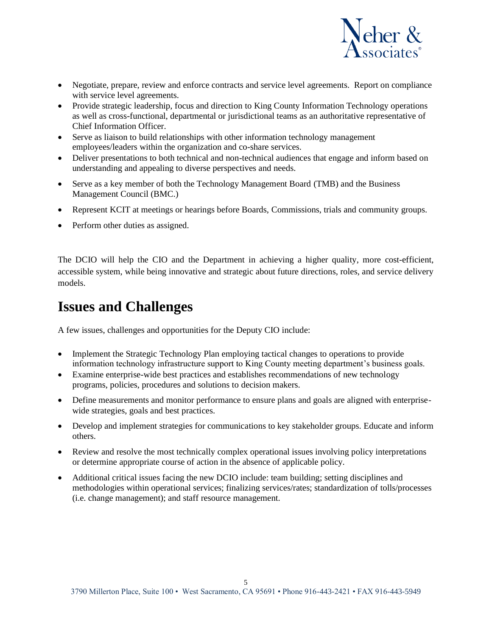

- Negotiate, prepare, review and enforce contracts and service level agreements. Report on compliance with service level agreements.
- Provide strategic leadership, focus and direction to King County Information Technology operations as well as cross-functional, departmental or jurisdictional teams as an authoritative representative of Chief Information Officer.
- Serve as liaison to build relationships with other information technology management employees/leaders within the organization and co-share services.
- Deliver presentations to both technical and non-technical audiences that engage and inform based on understanding and appealing to diverse perspectives and needs.
- Serve as a key member of both the Technology Management Board (TMB) and the Business Management Council (BMC.)
- Represent KCIT at meetings or hearings before Boards, Commissions, trials and community groups.
- Perform other duties as assigned.

The DCIO will help the CIO and the Department in achieving a higher quality, more cost-efficient, accessible system, while being innovative and strategic about future directions, roles, and service delivery models.

### **Issues and Challenges**

A few issues, challenges and opportunities for the Deputy CIO include:

- Implement the Strategic Technology Plan employing tactical changes to operations to provide information technology infrastructure support to King County meeting department's business goals.
- Examine enterprise-wide best practices and establishes recommendations of new technology programs, policies, procedures and solutions to decision makers.
- Define measurements and monitor performance to ensure plans and goals are aligned with enterprisewide strategies, goals and best practices.
- Develop and implement strategies for communications to key stakeholder groups. Educate and inform others.
- Review and resolve the most technically complex operational issues involving policy interpretations or determine appropriate course of action in the absence of applicable policy.
- Additional critical issues facing the new DCIO include: team building; setting disciplines and methodologies within operational services; finalizing services/rates; standardization of tolls/processes (i.e. change management); and staff resource management.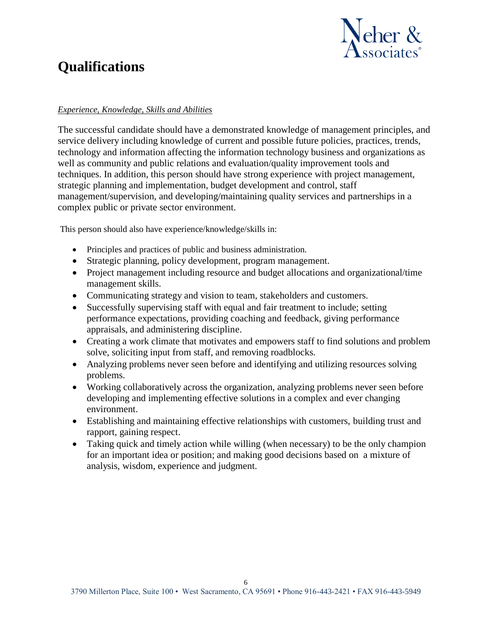

### **Qualifications**

#### *Experience, Knowledge, Skills and Abilities*

The successful candidate should have a demonstrated knowledge of management principles, and service delivery including knowledge of current and possible future policies, practices, trends, technology and information affecting the information technology business and organizations as well as community and public relations and evaluation/quality improvement tools and techniques. In addition, this person should have strong experience with project management, strategic planning and implementation, budget development and control, staff management/supervision, and developing/maintaining quality services and partnerships in a complex public or private sector environment.

This person should also have experience/knowledge/skills in:

- Principles and practices of public and business administration.
- Strategic planning, policy development, program management.
- Project management including resource and budget allocations and organizational/time management skills.
- Communicating strategy and vision to team, stakeholders and customers.
- Successfully supervising staff with equal and fair treatment to include; setting performance expectations, providing coaching and feedback, giving performance appraisals, and administering discipline.
- Creating a work climate that motivates and empowers staff to find solutions and problem solve, soliciting input from staff, and removing roadblocks.
- Analyzing problems never seen before and identifying and utilizing resources solving problems.
- Working collaboratively across the organization, analyzing problems never seen before developing and implementing effective solutions in a complex and ever changing environment.
- Establishing and maintaining effective relationships with customers, building trust and rapport, gaining respect.
- Taking quick and timely action while willing (when necessary) to be the only champion for an important idea or position; and making good decisions based on a mixture of analysis, wisdom, experience and judgment.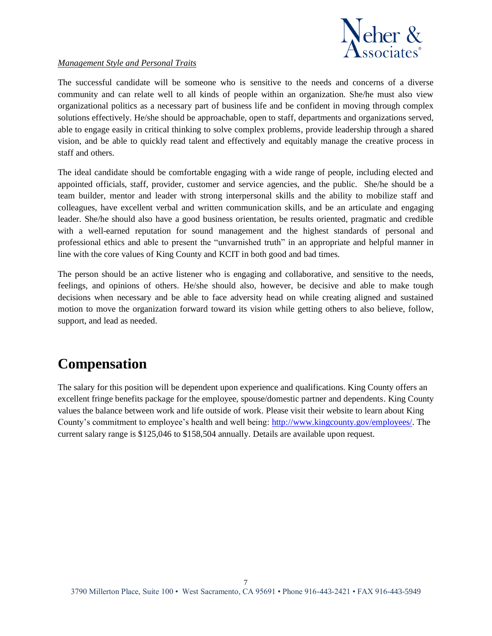

#### *Management Style and Personal Traits*

The successful candidate will be someone who is sensitive to the needs and concerns of a diverse community and can relate well to all kinds of people within an organization. She/he must also view organizational politics as a necessary part of business life and be confident in moving through complex solutions effectively. He/she should be approachable, open to staff, departments and organizations served, able to engage easily in critical thinking to solve complex problems, provide leadership through a shared vision, and be able to quickly read talent and effectively and equitably manage the creative process in staff and others.

The ideal candidate should be comfortable engaging with a wide range of people, including elected and appointed officials, staff, provider, customer and service agencies, and the public. She/he should be a team builder, mentor and leader with strong interpersonal skills and the ability to mobilize staff and colleagues, have excellent verbal and written communication skills, and be an articulate and engaging leader. She/he should also have a good business orientation, be results oriented, pragmatic and credible with a well-earned reputation for sound management and the highest standards of personal and professional ethics and able to present the "unvarnished truth" in an appropriate and helpful manner in line with the core values of King County and KCIT in both good and bad times.

The person should be an active listener who is engaging and collaborative, and sensitive to the needs, feelings, and opinions of others. He/she should also, however, be decisive and able to make tough decisions when necessary and be able to face adversity head on while creating aligned and sustained motion to move the organization forward toward its vision while getting others to also believe, follow, support, and lead as needed.

### **Compensation**

The salary for this position will be dependent upon experience and qualifications. King County offers an excellent fringe benefits package for the employee, spouse/domestic partner and dependents. King County values the balance between work and life outside of work. Please visit their website to learn about King County's commitment to employee's health and well being: [http://www.kingcounty.gov/employees/.](http://www.kingcounty.gov/employees/) The current salary range is \$125,046 to \$158,504 annually. Details are available upon request.